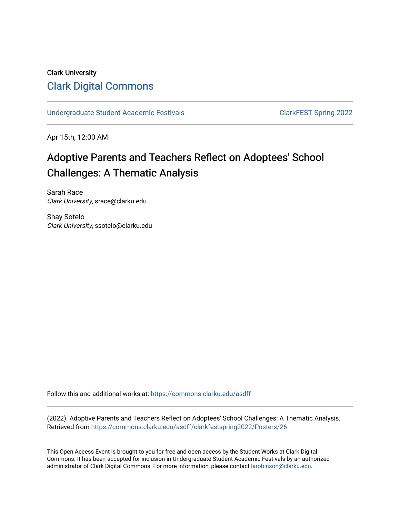## Clark University [Clark Digital Commons](https://commons.clarku.edu/)

[Undergraduate Student Academic Festivals](https://commons.clarku.edu/asdff) ClarkFEST Spring 2022

Apr 15th, 12:00 AM

# Adoptive Parents and Teachers Reflect on Adoptees' School Challenges: A Thematic Analysis

Sarah Race Clark University, srace@clarku.edu

Shay Sotelo Clark University, ssotelo@clarku.edu

Follow this and additional works at: [https://commons.clarku.edu/asdff](https://commons.clarku.edu/asdff?utm_source=commons.clarku.edu%2Fasdff%2Fclarkfestspring2022%2FPosters%2F26&utm_medium=PDF&utm_campaign=PDFCoverPages)

(2022). Adoptive Parents and Teachers Reflect on Adoptees' School Challenges: A Thematic Analysis. Retrieved from [https://commons.clarku.edu/asdff/clarkfestspring2022/Posters/26](https://commons.clarku.edu/asdff/clarkfestspring2022/Posters/26?utm_source=commons.clarku.edu%2Fasdff%2Fclarkfestspring2022%2FPosters%2F26&utm_medium=PDF&utm_campaign=PDFCoverPages) 

This Open Access Event is brought to you for free and open access by the Student Works at Clark Digital Commons. It has been accepted for inclusion in Undergraduate Student Academic Festivals by an authorized administrator of Clark Digital Commons. For more information, please contact [larobinson@clarku.edu](mailto:larobinson@clarku.edu).